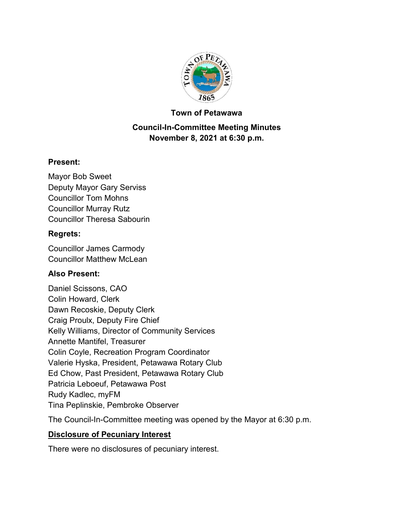

#### **Town of Petawawa**

# **Council-In-Committee Meeting Minutes November 8, 2021 at 6:30 p.m.**

## **Present:**

Mayor Bob Sweet Deputy Mayor Gary Serviss Councillor Tom Mohns Councillor Murray Rutz Councillor Theresa Sabourin

### **Regrets:**

Councillor James Carmody Councillor Matthew McLean

## **Also Present:**

Daniel Scissons, CAO Colin Howard, Clerk Dawn Recoskie, Deputy Clerk Craig Proulx, Deputy Fire Chief Kelly Williams, Director of Community Services Annette Mantifel, Treasurer Colin Coyle, Recreation Program Coordinator Valerie Hyska, President, Petawawa Rotary Club Ed Chow, Past President, Petawawa Rotary Club Patricia Leboeuf, Petawawa Post Rudy Kadlec, myFM Tina Peplinskie, Pembroke Observer

The Council-In-Committee meeting was opened by the Mayor at 6:30 p.m.

## **Disclosure of Pecuniary Interest**

There were no disclosures of pecuniary interest.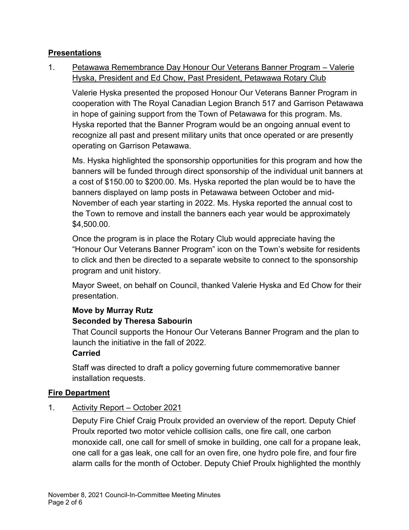## **Presentations**

1. Petawawa Remembrance Day Honour Our Veterans Banner Program – Valerie Hyska, President and Ed Chow, Past President, Petawawa Rotary Club

Valerie Hyska presented the proposed Honour Our Veterans Banner Program in cooperation with The Royal Canadian Legion Branch 517 and Garrison Petawawa in hope of gaining support from the Town of Petawawa for this program. Ms. Hyska reported that the Banner Program would be an ongoing annual event to recognize all past and present military units that once operated or are presently operating on Garrison Petawawa.

Ms. Hyska highlighted the sponsorship opportunities for this program and how the banners will be funded through direct sponsorship of the individual unit banners at a cost of \$150.00 to \$200.00. Ms. Hyska reported the plan would be to have the banners displayed on lamp posts in Petawawa between October and mid-November of each year starting in 2022. Ms. Hyska reported the annual cost to the Town to remove and install the banners each year would be approximately \$4,500.00.

Once the program is in place the Rotary Club would appreciate having the "Honour Our Veterans Banner Program" icon on the Town's website for residents to click and then be directed to a separate website to connect to the sponsorship program and unit history.

Mayor Sweet, on behalf on Council, thanked Valerie Hyska and Ed Chow for their presentation.

## **Move by Murray Rutz**

# **Seconded by Theresa Sabourin**

That Council supports the Honour Our Veterans Banner Program and the plan to launch the initiative in the fall of 2022.

#### **Carried**

Staff was directed to draft a policy governing future commemorative banner installation requests.

#### **Fire Department**

1. Activity Report – October 2021

Deputy Fire Chief Craig Proulx provided an overview of the report. Deputy Chief Proulx reported two motor vehicle collision calls, one fire call, one carbon monoxide call, one call for smell of smoke in building, one call for a propane leak, one call for a gas leak, one call for an oven fire, one hydro pole fire, and four fire alarm calls for the month of October. Deputy Chief Proulx highlighted the monthly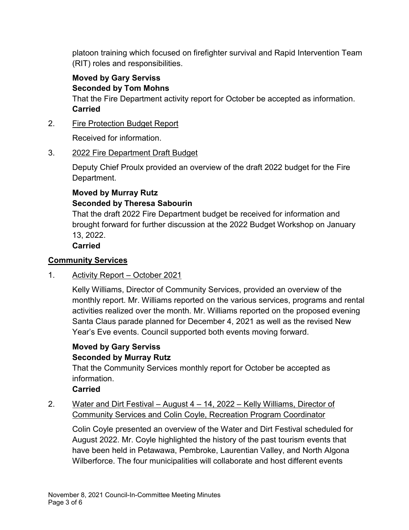platoon training which focused on firefighter survival and Rapid Intervention Team (RIT) roles and responsibilities.

**Moved by Gary Serviss Seconded by Tom Mohns**

That the Fire Department activity report for October be accepted as information. **Carried**

# 2. Fire Protection Budget Report

Received for information.

# 3. 2022 Fire Department Draft Budget

Deputy Chief Proulx provided an overview of the draft 2022 budget for the Fire Department.

# **Moved by Murray Rutz Seconded by Theresa Sabourin**

That the draft 2022 Fire Department budget be received for information and brought forward for further discussion at the 2022 Budget Workshop on January 13, 2022.

**Carried**

# **Community Services**

# 1. Activity Report – October 2021

Kelly Williams, Director of Community Services, provided an overview of the monthly report. Mr. Williams reported on the various services, programs and rental activities realized over the month. Mr. Williams reported on the proposed evening Santa Claus parade planned for December 4, 2021 as well as the revised New Year's Eve events. Council supported both events moving forward.

# **Moved by Gary Serviss Seconded by Murray Rutz**

That the Community Services monthly report for October be accepted as information.

## **Carried**

# 2. Water and Dirt Festival – August 4 – 14, 2022 – Kelly Williams, Director of Community Services and Colin Coyle, Recreation Program Coordinator

Colin Coyle presented an overview of the Water and Dirt Festival scheduled for August 2022. Mr. Coyle highlighted the history of the past tourism events that have been held in Petawawa, Pembroke, Laurentian Valley, and North Algona Wilberforce. The four municipalities will collaborate and host different events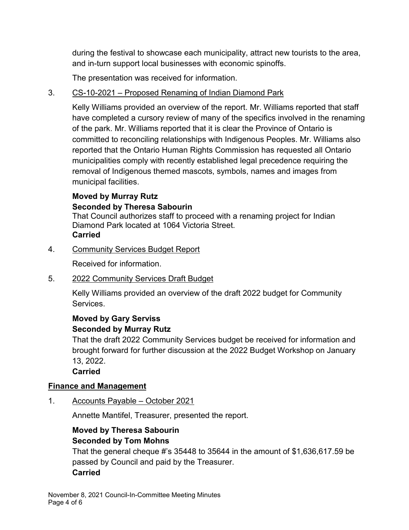during the festival to showcase each municipality, attract new tourists to the area, and in-turn support local businesses with economic spinoffs.

The presentation was received for information.

## 3. CS-10-2021 – Proposed Renaming of Indian Diamond Park

Kelly Williams provided an overview of the report. Mr. Williams reported that staff have completed a cursory review of many of the specifics involved in the renaming of the park. Mr. Williams reported that it is clear the Province of Ontario is committed to reconciling relationships with Indigenous Peoples. Mr. Williams also reported that the Ontario Human Rights Commission has requested all Ontario municipalities comply with recently established legal precedence requiring the removal of Indigenous themed mascots, symbols, names and images from municipal facilities.

# **Moved by Murray Rutz Seconded by Theresa Sabourin**

That Council authorizes staff to proceed with a renaming project for Indian Diamond Park located at 1064 Victoria Street. **Carried**

4. Community Services Budget Report

Received for information.

5. 2022 Community Services Draft Budget

Kelly Williams provided an overview of the draft 2022 budget for Community Services.

#### **Moved by Gary Serviss Seconded by Murray Rutz**

That the draft 2022 Community Services budget be received for information and brought forward for further discussion at the 2022 Budget Workshop on January 13, 2022.

**Carried**

## **Finance and Management**

1. Accounts Payable – October 2021

Annette Mantifel, Treasurer, presented the report.

# **Moved by Theresa Sabourin Seconded by Tom Mohns**

That the general cheque #'s 35448 to 35644 in the amount of \$1,636,617.59 be passed by Council and paid by the Treasurer. **Carried**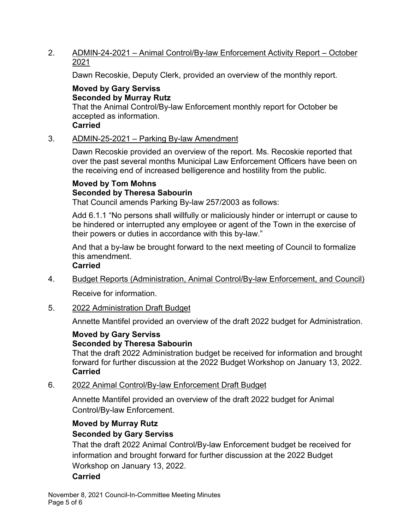## 2. ADMIN-24-2021 – Animal Control/By-law Enforcement Activity Report – October 2021

Dawn Recoskie, Deputy Clerk, provided an overview of the monthly report.

# **Moved by Gary Serviss Seconded by Murray Rutz**

That the Animal Control/By-law Enforcement monthly report for October be accepted as information.

### **Carried**

#### 3. ADMIN-25-2021 – Parking By-law Amendment

Dawn Recoskie provided an overview of the report. Ms. Recoskie reported that over the past several months Municipal Law Enforcement Officers have been on the receiving end of increased belligerence and hostility from the public.

## **Moved by Tom Mohns Seconded by Theresa Sabourin**

That Council amends Parking By-law 257/2003 as follows:

Add 6.1.1 "No persons shall willfully or maliciously hinder or interrupt or cause to be hindered or interrupted any employee or agent of the Town in the exercise of their powers or duties in accordance with this by-law."

And that a by-law be brought forward to the next meeting of Council to formalize this amendment.

#### **Carried**

- 4. Budget Reports (Administration, Animal Control/By-law Enforcement, and Council) Receive for information.
- 5. 2022 Administration Draft Budget

Annette Mantifel provided an overview of the draft 2022 budget for Administration.

#### **Moved by Gary Serviss Seconded by Theresa Sabourin**

That the draft 2022 Administration budget be received for information and brought forward for further discussion at the 2022 Budget Workshop on January 13, 2022. **Carried**

6. 2022 Animal Control/By-law Enforcement Draft Budget

Annette Mantifel provided an overview of the draft 2022 budget for Animal Control/By-law Enforcement.

# **Moved by Murray Rutz Seconded by Gary Serviss**

That the draft 2022 Animal Control/By-law Enforcement budget be received for information and brought forward for further discussion at the 2022 Budget Workshop on January 13, 2022.

## **Carried**